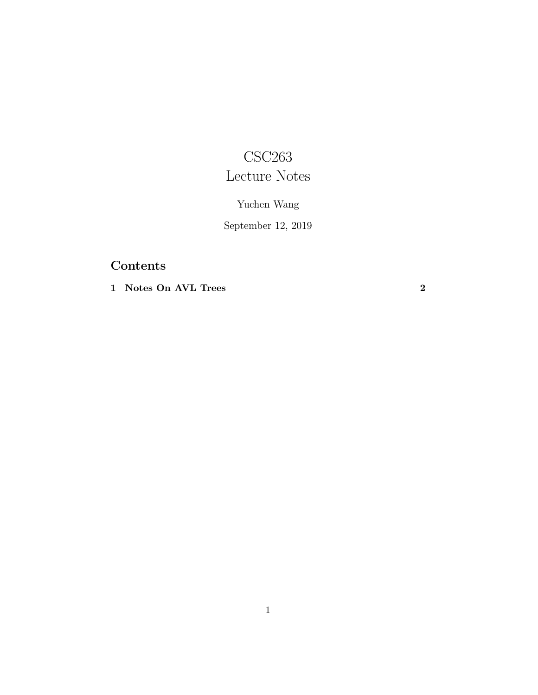## CSC263 Lecture Notes

## Yuchen Wang

September 12, 2019

## Contents

1 [Notes](#page-1-0) On AVL Trees 2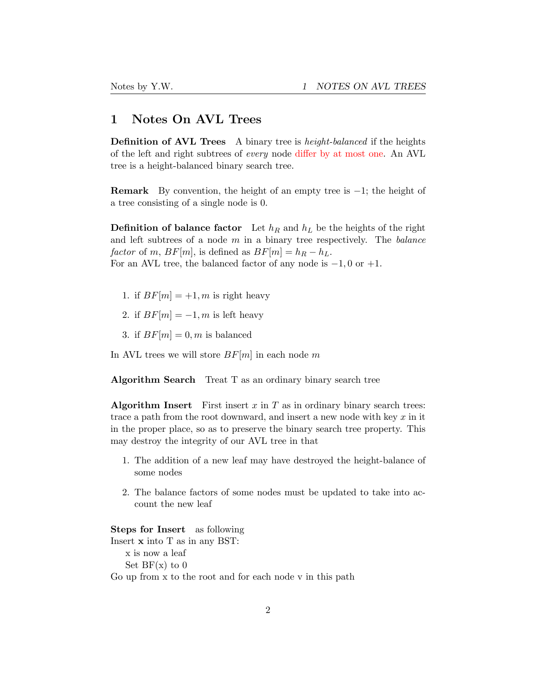## <span id="page-1-0"></span>1 Notes On AVL Trees

Definition of AVL Trees A binary tree is *height-balanced* if the heights of the left and right subtrees of *every* node differ by at most one. An AVL tree is a height-balanced binary search tree.

**Remark** By convention, the height of an empty tree is  $-1$ ; the height of a tree consisting of a single node is 0.

**Definition of balance factor** Let  $h_R$  and  $h_L$  be the heights of the right and left subtrees of a node *m* in a binary tree respectively. The *balance factor* of *m*,  $BF[m]$ , is defined as  $BF[m] = h_R - h_L$ . For an AVL tree, the balanced factor of any node is −1*,* 0 or +1.

- 1. if  $BF[m] = +1, m$  is right heavy
- 2. if  $BF[m] = -1, m$  is left heavy
- 3. if  $BF[m] = 0, m$  is balanced

In AVL trees we will store *BF*[*m*] in each node *m*

Algorithm Search Treat T as an ordinary binary search tree

Algorithm Insert First insert  $x$  in  $T$  as in ordinary binary search trees: trace a path from the root downward, and insert a new node with key *x* in it in the proper place, so as to preserve the binary search tree property. This may destroy the integrity of our AVL tree in that

- 1. The addition of a new leaf may have destroyed the height-balance of some nodes
- 2. The balance factors of some nodes must be updated to take into account the new leaf

Steps for Insert as following

Insert x into T as in any BST: x is now a leaf Set  $BF(x)$  to 0 Go up from x to the root and for each node v in this path